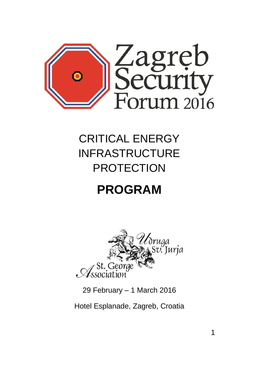

## CRITICAL ENERGY INFRASTRUCTURE PROTECTION

# **PROGRAM**



29 February – 1 March 2016

Hotel Esplanade, Zagreb, Croatia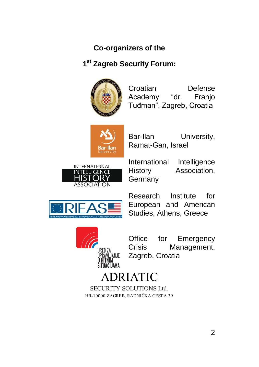## **Co-organizers of the**

## **1 st Zagreb Security Forum:**



Croatian Defense Academy "dr. Franjo Tuđman", Zagreb, Croatia



Bar-Ilan University, Ramat-Gan, Israel



International Intelligence History Association, **Germany** 



Research Institute for European and American Studies, Athens, Greece



Office for Emergency Crisis Management, Zagreb, Croatia

## ADRIATIC

SECURITY SOLUTIONS Ltd. HR-10000 ZAGREB, RADNIČKA CESTA 39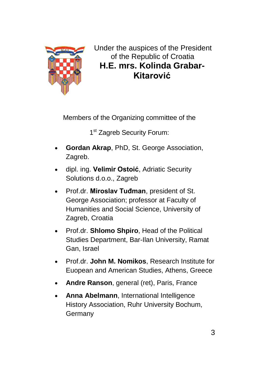

Under the auspices of the President of the Republic of Croatia **H.E. mrs. Kolinda Grabar-Kitarović**

Members of the Organizing committee of the

1<sup>st</sup> Zagreb Security Forum:

- **Gordan Akrap**, PhD, St. George Association, Zagreb.
- dipl. ing. **Velimir Ostoić**, Adriatic Security Solutions d.o.o., Zagreb
- Prof.dr. **Miroslav Tuđman**, president of St. George Association; professor at Faculty of Humanities and Social Science, University of Zagreb, Croatia
- Prof.dr. **Shlomo Shpiro**, Head of the Political Studies Department, Bar-Ilan University, Ramat Gan, Israel
- Prof.dr. **John M. Nomikos**, Research Institute for Euopean and American Studies, Athens, Greece
- **Andre Ranson**, general (ret), Paris, France
- **Anna Abelmann**, International Intelligence History Association, Ruhr University Bochum, **Germany**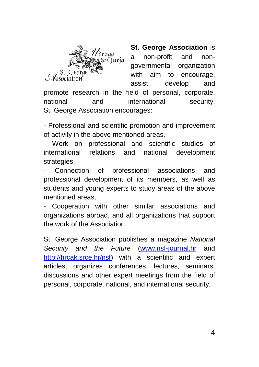

**St. George Association** is a non-profit and nongovernmental organization with aim to encourage, assist, develop and

promote research in the field of personal, corporate, national and international security. St. George Association encourages:

- Professional and scientific promotion and improvement of activity in the above mentioned areas,

- Work on professional and scientific studies of international relations and national development strategies.

- Connection of professional associations and professional development of its members, as well as students and young experts to study areas of the above mentioned areas,

Cooperation with other similar associations and organizations abroad, and all organizations that support the work of the Association.

St. George Association publishes a magazine *National Security and the Future* [\(www.nsf-journal.hr](http://www.nsf-journal.hr/) and [http://hrcak.srce.hr/nsf\)](http://hrcak.srce.hr/nsf) with a scientific and expert articles, organizes conferences, lectures, seminars, discussions and other expert meetings from the field of personal, corporate, national, and international security.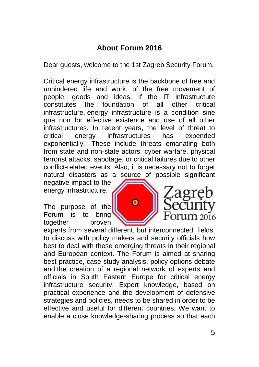## **About Forum 2016**

Dear guests, welcome to the 1st Zagreb Security Forum.

Critical energy infrastructure is the backbone of free and unhindered life and work, of the free movement of people, goods and ideas. If the IT infrastructure constitutes the foundation of all other critical infrastructure, energy infrastructure is a condition sine qua non for effective existence and use of all other infrastructures. In recent years, the level of threat to critical energy infrastructures has expended exponentially. These include threats emanating both from state and non-state actors, cyber warfare, physical terrorist attacks, sabotage, or critical failures due to other conflict-related events. Also, it is necessary not to forget natural disasters as a source of possible significant

negative impact to the energy infrastructure.

The purpose of the Forum is to bring together proven experts from several different, but interconnected, fields, to discuss with policy makers and security officials how best to deal with these emerging threats in their regional and European context. The Forum is aimed at sharing best practice, case study analysis, policy options debate and the creation of a regional network of experts and officials in South Eastern Europe for critical energy infrastructure security. Expert knowledge, based on practical experience and the development of defensive strategies and policies, needs to be shared in order to be effective and useful for different countries. We want to enable a close knowledge-sharing process so that each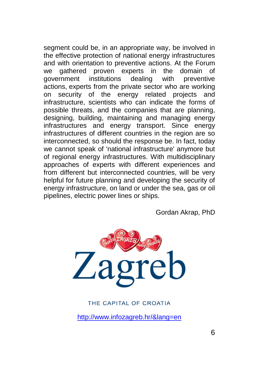segment could be, in an appropriate way, be involved in the effective protection of national energy infrastructures and with orientation to preventive actions. At the Forum we gathered proven experts in the domain of government institutions dealing with preventive actions, experts from the private sector who are working on security of the energy related projects and infrastructure, scientists who can indicate the forms of possible threats, and the companies that are planning, designing, building, maintaining and managing energy infrastructures and energy transport. Since energy infrastructures of different countries in the region are so interconnected, so should the response be. In fact, today we cannot speak of 'national infrastructure' anymore but of regional energy infrastructures. With multidisciplinary approaches of experts with different experiences and from different but interconnected countries, will be very helpful for future planning and developing the security of energy infrastructure, on land or under the sea, gas or oil pipelines, electric power lines or ships.

Gordan Akrap, PhD



#### THE CAPITAL OF CROATIA

<http://www.infozagreb.hr/&lang=en>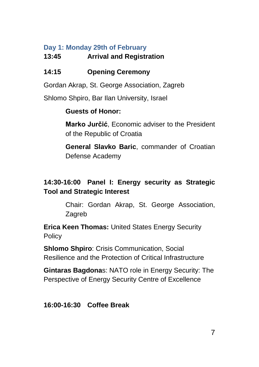#### **Day 1: Monday 29th of February**

#### **13:45 Arrival and Registration**

### **14:15 Opening Ceremony**

Gordan Akrap, St. George Association, Zagreb

Shlomo Shpiro, Bar Ilan University, Israel

#### **Guests of Honor:**

**Marko Jurčić**, Economic adviser to the President of the Republic of Croatia

**General Slavko Baric**, commander of Croatian Defense Academy

## **14:30-16:00 Panel I: Energy security as Strategic Tool and Strategic Interest**

Chair: Gordan Akrap, St. George Association, Zagreb

**Erica Keen Thomas:** United States Energy Security **Policy** 

**Shlomo Shpiro**: Crisis Communication, Social Resilience and the Protection of Critical Infrastructure

**Gintaras Bagdona**s: NATO role in Energy Security: The Perspective of Energy Security Centre of Excellence

#### **16:00-16:30 Coffee Break**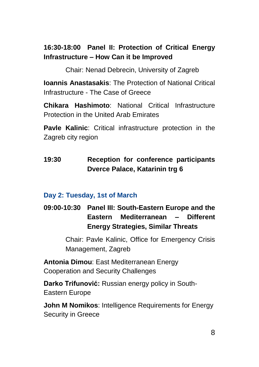### **16:30-18:00 Panel II: Protection of Critical Energy Infrastructure – How Can it be Improved**

Chair: Nenad Debrecin, University of Zagreb

**Ioannis Anastasakis**: The Protection of National Critical Infrastructure - The Case of Greece

**Chikara Hashimoto**: National Critical Infrastructure Protection in the United Arab Emirates

**Pavle Kalinic**: Critical infrastructure protection in the Zagreb city region

## **19:30 Reception for conference participants Dverce Palace, Katarinin trg 6**

#### **Day 2: Tuesday, 1st of March**

**09:00-10:30 Panel III: South-Eastern Europe and the Eastern Mediterranean – Different Energy Strategies, Similar Threats**

> Chair: Pavle Kalinic, Office for Emergency Crisis Management, Zagreb

**Antonia Dimou**: East Mediterranean Energy Cooperation and Security Challenges

**Darko Trifunović:** Russian energy policy in South-Eastern Europe

**John M Nomikos**: Intelligence Requirements for Energy Security in Greece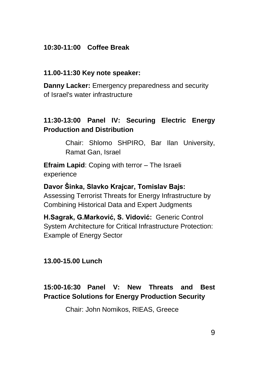#### **10:30-11:00 Coffee Break**

#### **11.00-11:30 Key note speaker:**

**Danny Lacker:** Emergency preparedness and security of Israel's water infrastructure

#### **11:30-13:00 Panel IV: Securing Electric Energy Production and Distribution**

Chair: Shlomo SHPIRO, Bar Ilan University, Ramat Gan, Israel

**Efraim Lapid**: Coping with terror – The Israeli experience

**Davor Šinka, Slavko Krajcar, Tomislav Bajs:** Assessing Terrorist Threats for Energy Infrastructure by Combining Historical Data and Expert Judgments

**H.Sagrak, G.Marković, S. Vidović:** Generic Control System Architecture for Critical Infrastructure Protection: Example of Energy Sector

#### **13.00-15.00 Lunch**

#### **15:00-16:30 Panel V: New Threats and Best Practice Solutions for Energy Production Security**

Chair: John Nomikos, RIEAS, Greece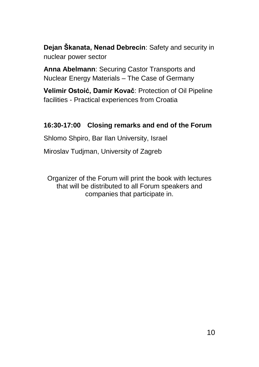**Dejan Škanata, Nenad Debrecin**: Safety and security in nuclear power sector

**Anna Abelmann**: Securing Castor Transports and Nuclear Energy Materials – The Case of Germany

**Velimir Ostoić, Damir Kovač**: Protection of Oil Pipeline facilities - Practical experiences from Croatia

#### **16:30-17:00 Closing remarks and end of the Forum**

Shlomo Shpiro, Bar Ilan University, Israel

Miroslav Tudjman, University of Zagreb

Organizer of the Forum will print the book with lectures that will be distributed to all Forum speakers and companies that participate in.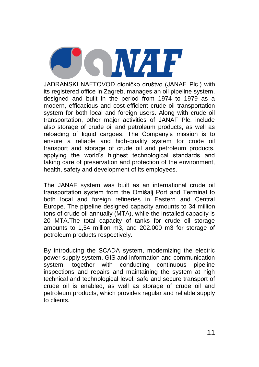**OIGINALE** 

JADRANSKI NAFTOVOD dioničko društvo (JANAF Plc.) with its registered office in Zagreb, manages an oil pipeline system, designed and built in the period from 1974 to 1979 as a modern, efficacious and cost-efficient crude oil transportation system for both local and foreign users. Along with crude oil transportation, other major activities of JANAF Plc. include also storage of crude oil and petroleum products, as well as reloading of liquid cargoes. The Company's mission is to ensure a reliable and high-quality system for crude oil transport and storage of crude oil and petroleum products, applying the world's highest technological standards and taking care of preservation and protection of the environment, health, safety and development of its employees.

The JANAF system was built as an international crude oil transportation system from the Omišalj Port and Terminal to both local and foreign refineries in Eastern and Central Europe. The pipeline designed capacity amounts to 34 million tons of crude oil annually (MTA), while the installed capacity is 20 MTA.The total capacity of tanks for crude oil storage amounts to 1,54 million m3, and 202.000 m3 for storage of petroleum products respectively.

By introducing the SCADA system, modernizing the electric power supply system, GIS and information and communication system, together with conducting continuous pipeline inspections and repairs and maintaining the system at high technical and technological level, safe and secure transport of crude oil is enabled, as well as storage of crude oil and petroleum products, which provides regular and reliable supply to clients.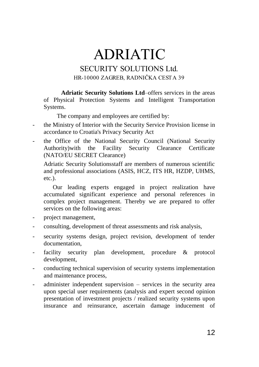# ADRIATIC

#### SECURITY SOLUTIONS Ltd. HR-10000 ZAGREB, RADNIČKA CESTA 39

**Adriatic Security Solutions Ltd**–offers services in the areas of Physical Protection Systems and Intelligent Transportation Systems.

The company and employees are certified by:

- the Ministry of Interior with the Security Service Provision license in accordance to Croatia's Privacy Security Act
- the Office of the National Security Council (National Security Authority)with the Facility Security Clearance Certificate (NATO/EU SECRET Clearance)

Adriatic Security Solutionsstaff are members of numerous scientific and professional associations (ASIS, HCZ, ITS HR, HZDP, UHMS, etc.).

Our leading experts engaged in project realization have accumulated significant experience and personal references in complex project management. Thereby we are prepared to offer services on the following areas:

- project management,
- consulting, development of threat assessments and risk analysis,
- security systems design, project revision, development of tender documentation,
- facility security plan development, procedure & protocol development,
- conducting technical supervision of security systems implementation and maintenance process,
- administer independent supervision services in the security area upon special user requirements (analysis and expert second opinion presentation of investment projects / realized security systems upon insurance and reinsurance, ascertain damage inducement of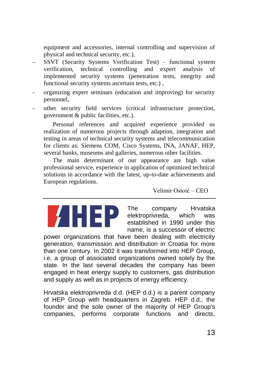equipment and accessories, internal controlling and supervision of physical and technical security, etc.),

- SSVT (Security Systems Verification Test) functional system verification, technical controlling and expert analysis of implemented security systems (penetration tests, integrity and functional security systems ascertain tests, etc.) ,
- organizing expert seminars (education and improving) for security personnel,
- other security field services (critical infrastructure protection, government & public facilities, etc.).

Personal references and acquired experience provided us realization of numerous projects through adaption, integration and testing in areas of technical security systems and telecommunication for clients as: Siemens COM, Cisco Systems, INA, JANAF, HEP, several banks, museums and galleries, numerous other facilities.

The main determinant of our appearance are high value professional service, experience in application of optimized technical solutions in accordance with the latest, up-to-date achievements and European regulations.

Velimir Ostoić – CEO

The company Hrvatska elektroprivreda, which was established in 1990 under this name, is a successor of electric

power organizations that have been dealing with electricity generation, transmission and distribution in Croatia for more than one century. In 2002 it was transformed into HEP Group, i.e. a group of associated organizations owned solely by the state. In the last several decades the company has been engaged in heat energy supply to customers, gas distribution and supply as well as in projects of energy efficiency.

Hrvatska elektroprivreda d.d. (HEP d.d.) is a parent company of HEP Group with headquarters in Zagreb. HEP d.d., the founder and the sole owner of the majority of HEP Group's companies, performs corporate functions and directs,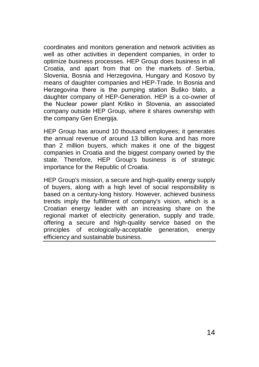coordinates and monitors generation and network activities as well as other activities in dependent companies, in order to optimize business processes. HEP Group does business in all Croatia, and apart from that on the markets of Serbia, Slovenia, Bosnia and Herzegovina, Hungary and Kosovo by means of daughter companies and HEP-Trade. In Bosnia and Herzegovina there is the pumping station Buško blato, a daughter company of HEP-Generation. HEP is a co-owner of the Nuclear power plant Krško in Slovenia, an associated company outside HEP Group, where it shares ownership with the company Gen Energija.

HEP Group has around 10 thousand employees; it generates the annual revenue of around 13 billion kuna and has more than 2 million buyers, which makes it one of the biggest companies in Croatia and the biggest company owned by the state. Therefore, HEP Group's business is of strategic importance for the Republic of Croatia.

HEP Group's mission, a secure and high-quality energy supply of buyers, along with a high level of social responsibility is based on a century-long history. However, achieved business trends imply the fulfillment of company's vision, which is a Croatian energy leader with an increasing share on the regional market of electricity generation, supply and trade, offering a secure and high-quality service based on the principles of ecologically-acceptable generation, energy efficiency and sustainable business.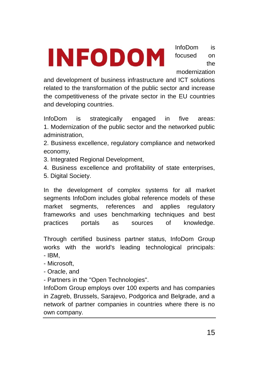**INFODOM** 

InfoDom is focused on the modernization

and development of business infrastructure and ICT solutions related to the transformation of the public sector and increase the competitiveness of the private sector in the EU countries and developing countries.

InfoDom is strategically engaged in five areas: 1. Modernization of the public sector and the networked public administration,

2. Business excellence, regulatory compliance and networked economy,

- 3. Integrated Regional Development,
- 4. Business excellence and profitability of state enterprises,
- 5. Digital Society.

In the development of complex systems for all market segments InfoDom includes global reference models of these market segments, references and applies regulatory frameworks and uses benchmarking techniques and best practices portals as sources of knowledge.

Through certified business partner status, InfoDom Group works with the world's leading technological principals: - IBM,

- Microsoft,
- Oracle, and
- Partners in the "Open Technologies".

InfoDom Group employs over 100 experts and has companies in Zagreb, Brussels, Sarajevo, Podgorica and Belgrade, and a network of partner companies in countries where there is no own company.